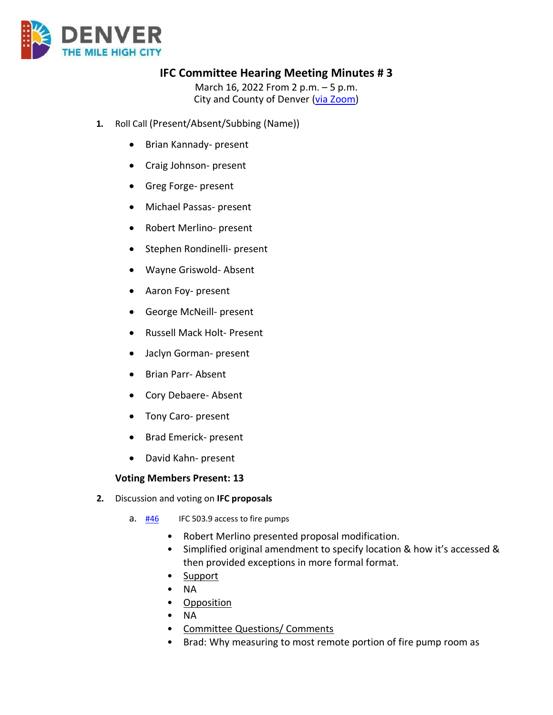

# **IFC Committee Hearing Meeting Minutes # 3**

March 16, 2022 From 2 p.m. – 5 p.m. City and County of Denver [\(via Zoom\)](https://carrier.zoom.us/webinar/register/WN_unV-oNk8RXaftHQqWaO-Dw)

- **1.** Roll Call (Present/Absent/Subbing (Name))
	- Brian Kannady- present
	- Craig Johnson- present
	- Greg Forge- present
	- Michael Passas- present
	- Robert Merlino- present
	- Stephen Rondinelli- present
	- Wayne Griswold- Absent
	- Aaron Foy- present
	- George McNeill- present
	- Russell Mack Holt- Present
	- Jaclyn Gorman- present
	- Brian Parr- Absent
	- Cory Debaere- Absent
	- Tony Caro- present
	- Brad Emerick- present
	- David Kahn- present

#### **Voting Members Present: 13**

- **2.** Discussion and voting on **IFC proposals**
	- a.  $\frac{\#46}{\#46}$  $\frac{\#46}{\#46}$  $\frac{\#46}{\#46}$  IFC 503.9 access to fire pumps
		- Robert Merlino presented proposal modification.
		- Simplified original amendment to specify location & how it's accessed & then provided exceptions in more formal format.
		- Support
		- NA
		- Opposition
		- NA
		- Committee Questions/ Comments
		- Brad: Why measuring to most remote portion of fire pump room as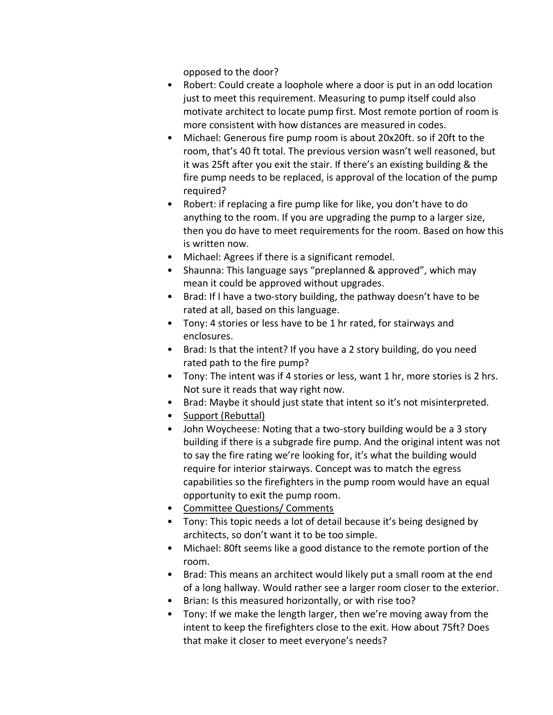opposed to the door?

- Robert: Could create a loophole where a door is put in an odd location just to meet this requirement. Measuring to pump itself could also motivate architect to locate pump first. Most remote portion of room is more consistent with how distances are measured in codes.
- Michael: Generous fire pump room is about 20x20ft. so if 20ft to the room, that's 40 ft total. The previous version wasn't well reasoned, but it was 25ft after you exit the stair. If there's an existing building & the fire pump needs to be replaced, is approval of the location of the pump required?
- Robert: if replacing a fire pump like for like, you don't have to do anything to the room. If you are upgrading the pump to a larger size, then you do have to meet requirements for the room. Based on how this is written now.
- Michael: Agrees if there is a significant remodel.
- Shaunna: This language says "preplanned & approved", which may mean it could be approved without upgrades.
- Brad: If I have a two-story building, the pathway doesn't have to be rated at all, based on this language.
- Tony: 4 stories or less have to be 1 hr rated, for stairways and enclosures.
- Brad: Is that the intent? If you have a 2 story building, do you need rated path to the fire pump?
- Tony: The intent was if 4 stories or less, want 1 hr, more stories is 2 hrs. Not sure it reads that way right now.
- Brad: Maybe it should just state that intent so it's not misinterpreted.
- Support (Rebuttal)
- John Woycheese: Noting that a two-story building would be a 3 story building if there is a subgrade fire pump. And the original intent was not to say the fire rating we're looking for, it's what the building would require for interior stairways. Concept was to match the egress capabilities so the firefighters in the pump room would have an equal opportunity to exit the pump room.
- Committee Questions/ Comments
- Tony: This topic needs a lot of detail because it's being designed by architects, so don't want it to be too simple.
- Michael: 80ft seems like a good distance to the remote portion of the room.
- Brad: This means an architect would likely put a small room at the end of a long hallway. Would rather see a larger room closer to the exterior.
- Brian: Is this measured horizontally, or with rise too?
- Tony: If we make the length larger, then we're moving away from the intent to keep the firefighters close to the exit. How about 75ft? Does that make it closer to meet everyone's needs?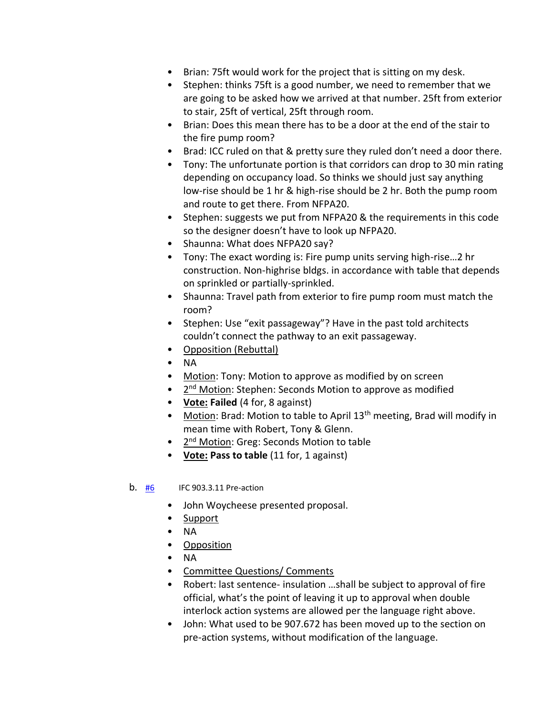- Brian: 75ft would work for the project that is sitting on my desk.
- Stephen: thinks 75ft is a good number, we need to remember that we are going to be asked how we arrived at that number. 25ft from exterior to stair, 25ft of vertical, 25ft through room.
- Brian: Does this mean there has to be a door at the end of the stair to the fire pump room?
- Brad: ICC ruled on that & pretty sure they ruled don't need a door there.
- Tony: The unfortunate portion is that corridors can drop to 30 min rating depending on occupancy load. So thinks we should just say anything low-rise should be 1 hr & high-rise should be 2 hr. Both the pump room and route to get there. From NFPA20.
- Stephen: suggests we put from NFPA20 & the requirements in this code so the designer doesn't have to look up NFPA20.
- Shaunna: What does NFPA20 say?
- Tony: The exact wording is: Fire pump units serving high-rise…2 hr construction. Non-highrise bldgs. in accordance with table that depends on sprinkled or partially-sprinkled.
- Shaunna: Travel path from exterior to fire pump room must match the room?
- Stephen: Use "exit passageway"? Have in the past told architects couldn't connect the pathway to an exit passageway.
- Opposition (Rebuttal)
- NA
- Motion: Tony: Motion to approve as modified by on screen
- 2<sup>nd</sup> Motion: Stephen: Seconds Motion to approve as modified
- **Vote: Failed** (4 for, 8 against)
- Motion: Brad: Motion to table to April 13<sup>th</sup> meeting, Brad will modify in mean time with Robert, Tony & Glenn.
- 2<sup>nd</sup> Motion: Greg: Seconds Motion to table
- **Vote: Pass to table** (11 for, 1 against)
- b.  $\frac{H6}{H6}$  IFC 903.3.11 Pre-action
	- John Woycheese presented proposal.
	- Support
	- NA
	- Opposition
	- NA
	- Committee Questions/ Comments
	- Robert: last sentence- insulation …shall be subject to approval of fire official, what's the point of leaving it up to approval when double interlock action systems are allowed per the language right above.
	- John: What used to be 907.672 has been moved up to the section on pre-action systems, without modification of the language.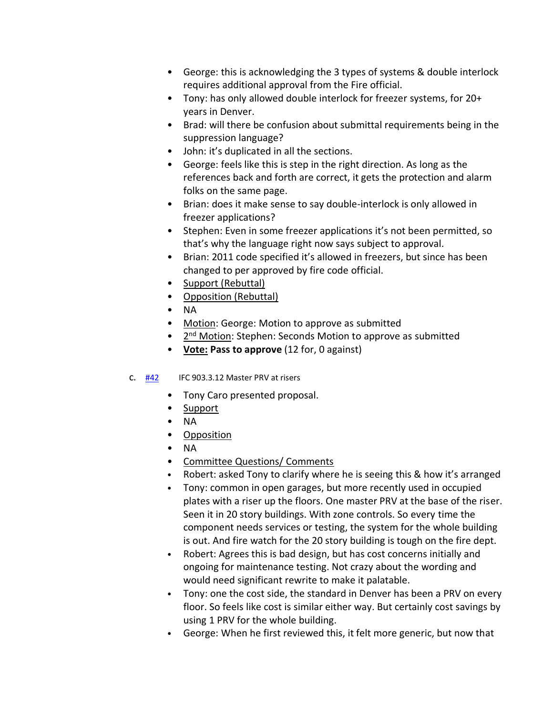- George: this is acknowledging the 3 types of systems & double interlock requires additional approval from the Fire official.
- Tony: has only allowed double interlock for freezer systems, for 20+ years in Denver.
- Brad: will there be confusion about submittal requirements being in the suppression language?
- John: it's duplicated in all the sections.
- George: feels like this is step in the right direction. As long as the references back and forth are correct, it gets the protection and alarm folks on the same page.
- Brian: does it make sense to say double-interlock is only allowed in freezer applications?
- Stephen: Even in some freezer applications it's not been permitted, so that's why the language right now says subject to approval.
- Brian: 2011 code specified it's allowed in freezers, but since has been changed to per approved by fire code official.
- Support (Rebuttal)
- Opposition (Rebuttal)
- NA
- Motion: George: Motion to approve as submitted
- 2<sup>nd</sup> Motion: Stephen: Seconds Motion to approve as submitted
- **Vote: Pass to approve** (12 for, 0 against)
- c. [#42](https://www.denvergov.org/files/assets/public/community-planning-and-development/documents/ds/building-codes/code-adoption/amendment-proposals/ifc/ifc_903.3.12.pdf) IFC 903.3.12 Master PRV at risers
	- Tony Caro presented proposal.
	- Support
	- NA
	- Opposition
	- NA
	- Committee Questions/ Comments
	- Robert: asked Tony to clarify where he is seeing this & how it's arranged
	- Tony: common in open garages, but more recently used in occupied plates with a riser up the floors. One master PRV at the base of the riser. Seen it in 20 story buildings. With zone controls. So every time the component needs services or testing, the system for the whole building is out. And fire watch for the 20 story building is tough on the fire dept.
	- Robert: Agrees this is bad design, but has cost concerns initially and ongoing for maintenance testing. Not crazy about the wording and would need significant rewrite to make it palatable.
	- Tony: one the cost side, the standard in Denver has been a PRV on every floor. So feels like cost is similar either way. But certainly cost savings by using 1 PRV for the whole building.
	- George: When he first reviewed this, it felt more generic, but now that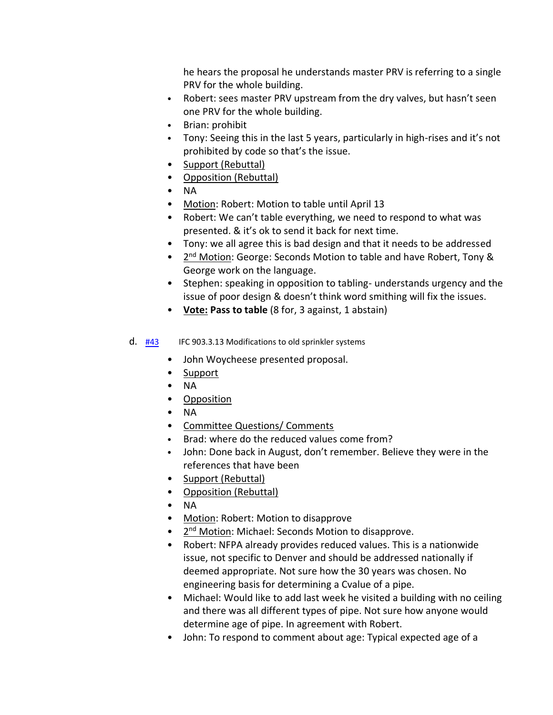he hears the proposal he understands master PRV is referring to a single PRV for the whole building.

- Robert: sees master PRV upstream from the dry valves, but hasn't seen one PRV for the whole building.
- Brian: prohibit
- Tony: Seeing this in the last 5 years, particularly in high-rises and it's not prohibited by code so that's the issue.
- Support (Rebuttal)
- Opposition (Rebuttal)
- NA
- Motion: Robert: Motion to table until April 13
- Robert: We can't table everything, we need to respond to what was presented. & it's ok to send it back for next time.
- Tony: we all agree this is bad design and that it needs to be addressed
- 2<sup>nd</sup> Motion: George: Seconds Motion to table and have Robert, Tony & George work on the language.
- Stephen: speaking in opposition to tabling- understands urgency and the issue of poor design & doesn't think word smithing will fix the issues.
- **Vote: Pass to table** (8 for, 3 against, 1 abstain)
- d. [#43](https://www.denvergov.org/files/assets/public/community-planning-and-development/documents/ds/building-codes/code-adoption/amendment-proposals/ifc/ifc_903.3.13.pdf) IFC 903.3.13 Modifications to old sprinkler systems
	- John Woycheese presented proposal.
	- Support
	- NA
	- Opposition
	- NA
	- Committee Questions/ Comments
	- Brad: where do the reduced values come from?
	- John: Done back in August, don't remember. Believe they were in the references that have been
	- Support (Rebuttal)
	- Opposition (Rebuttal)
	- NA
	- Motion: Robert: Motion to disapprove
	- 2<sup>nd</sup> Motion: Michael: Seconds Motion to disapprove.
	- Robert: NFPA already provides reduced values. This is a nationwide issue, not specific to Denver and should be addressed nationally if deemed appropriate. Not sure how the 30 years was chosen. No engineering basis for determining a Cvalue of a pipe.
	- Michael: Would like to add last week he visited a building with no ceiling and there was all different types of pipe. Not sure how anyone would determine age of pipe. In agreement with Robert.
	- John: To respond to comment about age: Typical expected age of a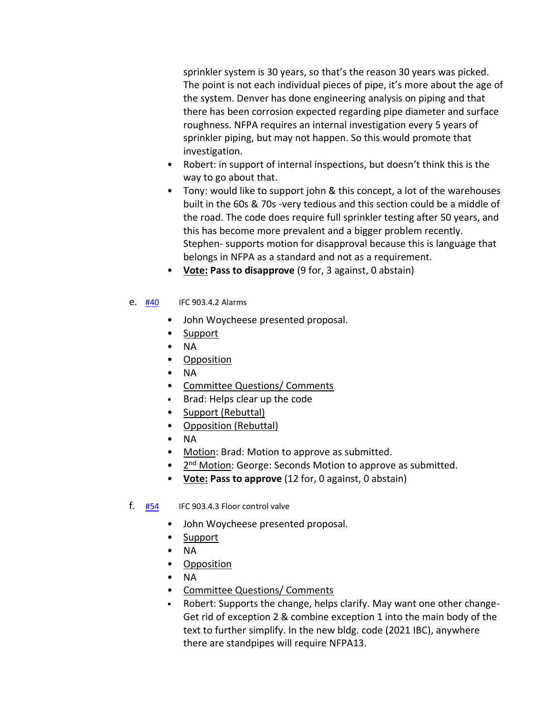sprinkler system is 30 years, so that's the reason 30 years was picked. The point is not each individual pieces of pipe, it's more about the age of the system. Denver has done engineering analysis on piping and that there has been corrosion expected regarding pipe diameter and surface roughness. NFPA requires an internal investigation every 5 years of sprinkler piping, but may not happen. So this would promote that investigation.

- Robert: in support of internal inspections, but doesn't think this is the way to go about that.
- Tony: would like to support john & this concept, a lot of the warehouses built in the 60s & 70s -very tedious and this section could be a middle of the road. The code does require full sprinkler testing after 50 years, and this has become more prevalent and a bigger problem recently. Stephen- supports motion for disapproval because this is language that belongs in NFPA as a standard and not as a requirement.
- **Vote: Pass to disapprove** (9 for, 3 against, 0 abstain)
- e. [#40](https://www.denvergov.org/files/assets/public/community-planning-and-development/documents/ds/building-codes/code-adoption/amendment-proposals/ifc/ifc_903.4.2.pdf) IFC 903.4.2 Alarms
	- John Woycheese presented proposal.
	- Support
	- NA
	- Opposition
	- NA
	- Committee Questions/ Comments
	- Brad: Helps clear up the code
	- Support (Rebuttal)
	- Opposition (Rebuttal)
	- NA
	- Motion: Brad: Motion to approve as submitted.
	- 2<sup>nd</sup> Motion: George: Seconds Motion to approve as submitted.
	- **Vote: Pass to approve** (12 for, 0 against, 0 abstain)
- f. [#54](https://www.denvergov.org/files/assets/public/community-planning-and-development/documents/ds/building-codes/code-adoption/amendment-proposals/ifc/ifc_903.4.3.pdf) IFC 903.4.3 Floor control valve
	- John Woycheese presented proposal.
	- Support
	- NA
	- Opposition
	- NA
	- Committee Questions/ Comments
	- Robert: Supports the change, helps clarify. May want one other change-Get rid of exception 2 & combine exception 1 into the main body of the text to further simplify. In the new bldg. code (2021 IBC), anywhere there are standpipes will require NFPA13.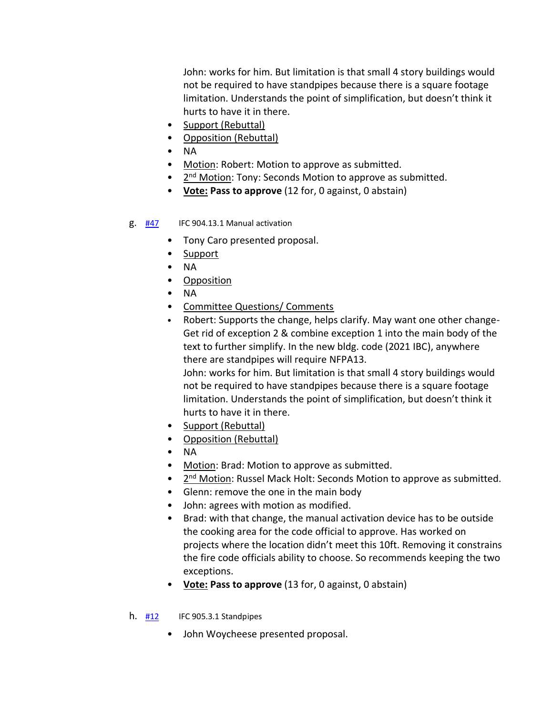John: works for him. But limitation is that small 4 story buildings would not be required to have standpipes because there is a square footage limitation. Understands the point of simplification, but doesn't think it hurts to have it in there.

- Support (Rebuttal)
- **Opposition (Rebuttal)**
- NA
- Motion: Robert: Motion to approve as submitted.
- 2<sup>nd</sup> Motion: Tony: Seconds Motion to approve as submitted.
- **Vote: Pass to approve** (12 for, 0 against, 0 abstain)

## g. [#47](https://www.denvergov.org/files/assets/public/community-planning-and-development/documents/ds/building-codes/code-adoption/amendment-proposals/ifc/ifc_904.13.1.pdf) IFC 904.13.1 Manual activation

- Tony Caro presented proposal.
- Support
- NA
- Opposition
- NA
- Committee Questions/ Comments
- Robert: Supports the change, helps clarify. May want one other change-Get rid of exception 2 & combine exception 1 into the main body of the text to further simplify. In the new bldg. code (2021 IBC), anywhere there are standpipes will require NFPA13.

John: works for him. But limitation is that small 4 story buildings would not be required to have standpipes because there is a square footage limitation. Understands the point of simplification, but doesn't think it hurts to have it in there.

- Support (Rebuttal)
- Opposition (Rebuttal)
- NA
- Motion: Brad: Motion to approve as submitted.
- 2<sup>nd</sup> Motion: Russel Mack Holt: Seconds Motion to approve as submitted.
- Glenn: remove the one in the main body
- John: agrees with motion as modified.
- Brad: with that change, the manual activation device has to be outside the cooking area for the code official to approve. Has worked on projects where the location didn't meet this 10ft. Removing it constrains the fire code officials ability to choose. So recommends keeping the two exceptions.
- **Vote: Pass to approve** (13 for, 0 against, 0 abstain)
- h. [#12](https://www.denvergov.org/files/assets/public/community-planning-and-development/documents/ds/building-codes/code-adoption/amendment-proposals/ifc/ifc_905.3.1.pdf) IFC 905.3.1 Standpipes
	- John Woycheese presented proposal.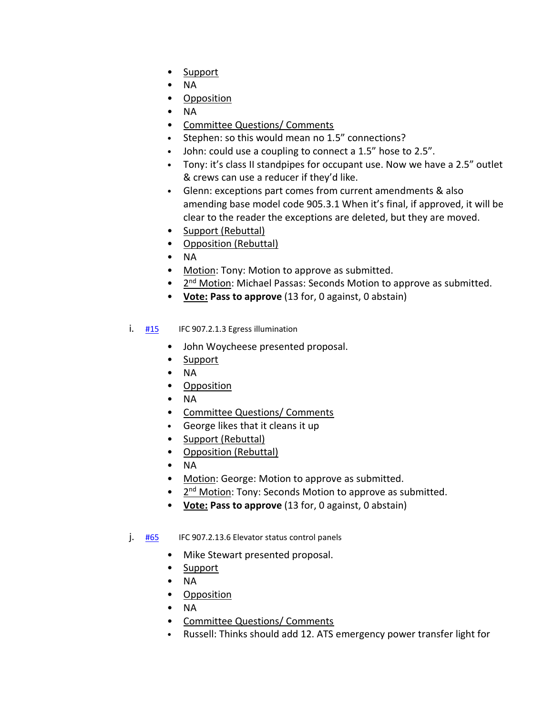- Support
- NA
- Opposition
- NA
- Committee Questions/ Comments
- Stephen: so this would mean no 1.5" connections?
- John: could use a coupling to connect a 1.5" hose to 2.5".
- Tony: it's class II standpipes for occupant use. Now we have a 2.5" outlet & crews can use a reducer if they'd like.
- Glenn: exceptions part comes from current amendments & also amending base model code 905.3.1 When it's final, if approved, it will be clear to the reader the exceptions are deleted, but they are moved.
- Support (Rebuttal)
- Opposition (Rebuttal)
- NA
- Motion: Tony: Motion to approve as submitted.
- 2<sup>nd</sup> Motion: Michael Passas: Seconds Motion to approve as submitted.
- **Vote: Pass to approve** (13 for, 0 against, 0 abstain)

#### i. [#15](https://www.denvergov.org/files/assets/public/community-planning-and-development/documents/ds/building-codes/code-adoption/amendment-proposals/ifc/ifc_907.2.1.3.pdf) IFC 907.2.1.3 Egress illumination

- John Woycheese presented proposal.
- Support
- NA
- Opposition
- NA
- Committee Questions/ Comments
- George likes that it cleans it up
- Support (Rebuttal)
- Opposition (Rebuttal)
- NA
- Motion: George: Motion to approve as submitted.
- 2<sup>nd</sup> Motion: Tony: Seconds Motion to approve as submitted.
- **Vote: Pass to approve** (13 for, 0 against, 0 abstain)

#### j.  $\frac{#65}{}$  $\frac{#65}{}$  $\frac{#65}{}$  IFC 907.2.13.6 Elevator status control panels

- Mike Stewart presented proposal.
- Support
- NA
- Opposition
- NA
- Committee Questions/ Comments
- Russell: Thinks should add 12. ATS emergency power transfer light for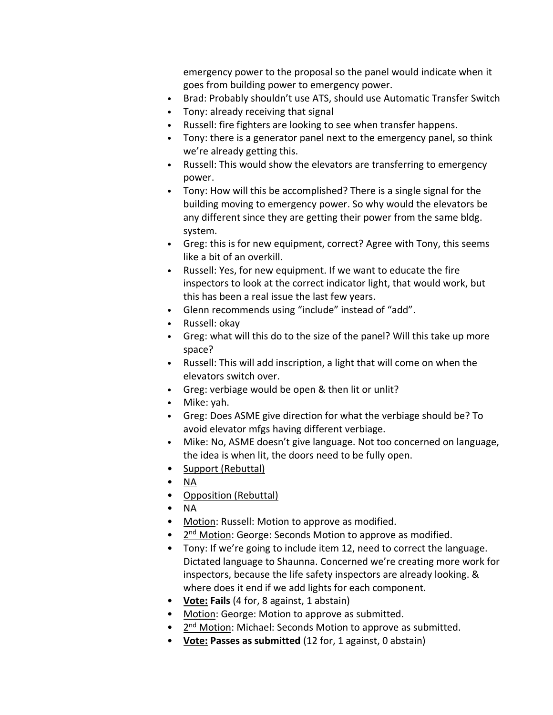emergency power to the proposal so the panel would indicate when it goes from building power to emergency power.

- Brad: Probably shouldn't use ATS, should use Automatic Transfer Switch
- Tony: already receiving that signal
- Russell: fire fighters are looking to see when transfer happens.
- Tony: there is a generator panel next to the emergency panel, so think we're already getting this.
- Russell: This would show the elevators are transferring to emergency power.
- Tony: How will this be accomplished? There is a single signal for the building moving to emergency power. So why would the elevators be any different since they are getting their power from the same bldg. system.
- Greg: this is for new equipment, correct? Agree with Tony, this seems like a bit of an overkill.
- Russell: Yes, for new equipment. If we want to educate the fire inspectors to look at the correct indicator light, that would work, but this has been a real issue the last few years.
- Glenn recommends using "include" instead of "add".
- Russell: okay
- Greg: what will this do to the size of the panel? Will this take up more space?
- Russell: This will add inscription, a light that will come on when the elevators switch over.
- Greg: verbiage would be open & then lit or unlit?
- Mike: yah.
- Greg: Does ASME give direction for what the verbiage should be? To avoid elevator mfgs having different verbiage.
- Mike: No, ASME doesn't give language. Not too concerned on language, the idea is when lit, the doors need to be fully open.
- Support (Rebuttal)
- $\bullet$  NA
- Opposition (Rebuttal)
- NA
- Motion: Russell: Motion to approve as modified.
- 2<sup>nd</sup> Motion: George: Seconds Motion to approve as modified.
- Tony: If we're going to include item 12, need to correct the language. Dictated language to Shaunna. Concerned we're creating more work for inspectors, because the life safety inspectors are already looking. & where does it end if we add lights for each component.
- **Vote: Fails** (4 for, 8 against, 1 abstain)
- Motion: George: Motion to approve as submitted.
- 2<sup>nd</sup> Motion: Michael: Seconds Motion to approve as submitted.
- **Vote: Passes as submitted** (12 for, 1 against, 0 abstain)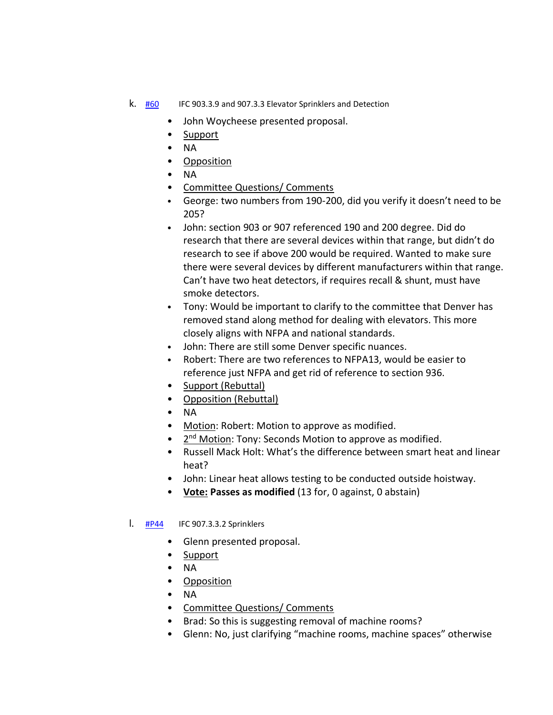- k. [#60](https://www.denvergov.org/files/assets/public/community-planning-and-development/documents/ds/building-codes/code-adoption/amendment-proposals/ifc/ifc_903.3.9-and-907.3.3.pdf) IFC 903.3.9 and 907.3.3 Elevator Sprinklers and Detection
	- John Woycheese presented proposal.
	- Support
	- NA
	- Opposition
	- NA
	- Committee Questions/ Comments
	- George: two numbers from 190-200, did you verify it doesn't need to be 205?
	- John: section 903 or 907 referenced 190 and 200 degree. Did do research that there are several devices within that range, but didn't do research to see if above 200 would be required. Wanted to make sure there were several devices by different manufacturers within that range. Can't have two heat detectors, if requires recall & shunt, must have smoke detectors.
	- Tony: Would be important to clarify to the committee that Denver has removed stand along method for dealing with elevators. This more closely aligns with NFPA and national standards.
	- John: There are still some Denver specific nuances.
	- Robert: There are two references to NFPA13, would be easier to reference just NFPA and get rid of reference to section 936.
	- Support (Rebuttal)
	- Opposition (Rebuttal)
	- NA
	- Motion: Robert: Motion to approve as modified.
	- 2<sup>nd</sup> Motion: Tony: Seconds Motion to approve as modified.
	- Russell Mack Holt: What's the difference between smart heat and linear heat?
	- John: Linear heat allows testing to be conducted outside hoistway.
	- **Vote: Passes as modified** (13 for, 0 against, 0 abstain)

#### l. [#P44](https://www.denvergov.org/files/assets/public/community-planning-and-development/documents/ds/building-codes/code-adoption/amendment-proposals/ifc/ifc_907.3.3.2.pdf) IFC 907.3.3.2 Sprinklers

- Glenn presented proposal.
- Support
- NA
- Opposition
- NA
- Committee Questions/ Comments
- Brad: So this is suggesting removal of machine rooms?
- Glenn: No, just clarifying "machine rooms, machine spaces" otherwise